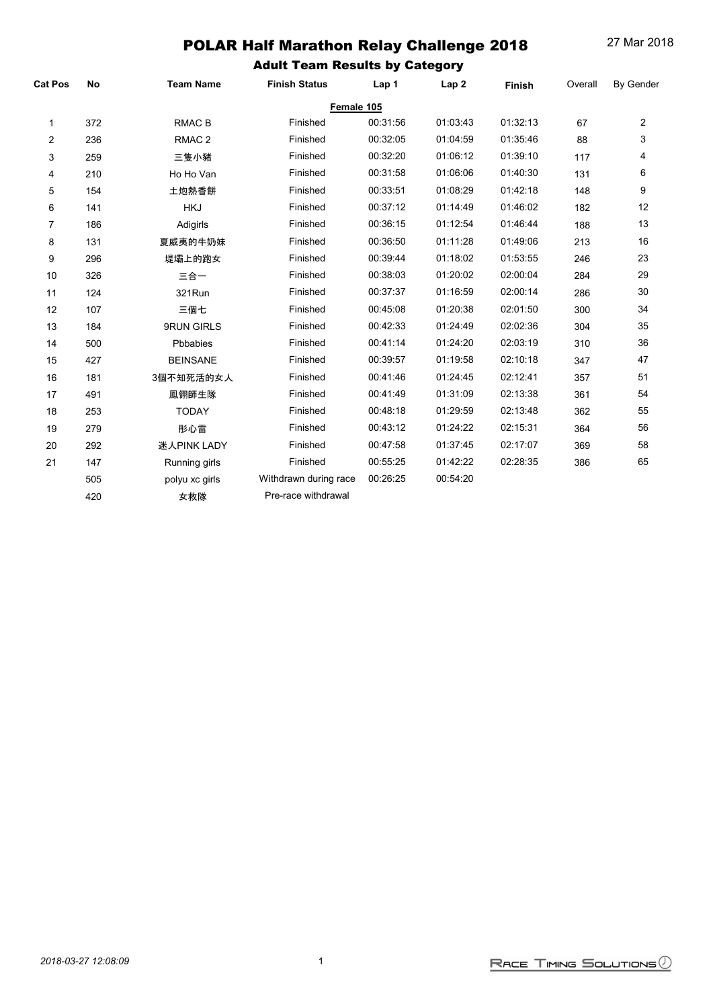| <b>Cat Pos</b> | No  | <b>Team Name</b>  | <b>Finish Status</b>  | Lap 1    | Lap <sub>2</sub> | Finish   | Overall | <b>By Gender</b> |
|----------------|-----|-------------------|-----------------------|----------|------------------|----------|---------|------------------|
|                |     |                   | Female 105            |          |                  |          |         |                  |
| 1              | 372 | <b>RMAC B</b>     | Finished              | 00:31:56 | 01:03:43         | 01:32:13 | 67      | $\overline{2}$   |
| $\overline{2}$ | 236 | RMAC <sub>2</sub> | Finished              | 00:32:05 | 01:04:59         | 01:35:46 | 88      | 3                |
| 3              | 259 | 三隻小豬              | Finished              | 00:32:20 | 01:06:12         | 01:39:10 | 117     | 4                |
| 4              | 210 | Ho Ho Van         | Finished              | 00:31:58 | 01:06:06         | 01:40:30 | 131     | 6                |
| 5              | 154 | 土炮熱香餅             | Finished              | 00:33:51 | 01:08:29         | 01:42:18 | 148     | 9                |
| 6              | 141 | <b>HKJ</b>        | Finished              | 00:37:12 | 01:14:49         | 01:46:02 | 182     | 12               |
| $\overline{7}$ | 186 | Adigirls          | Finished              | 00:36:15 | 01:12:54         | 01:46:44 | 188     | 13               |
| 8              | 131 | 夏威夷的牛奶妹           | Finished              | 00:36:50 | 01:11:28         | 01:49:06 | 213     | 16               |
| 9              | 296 | 堤壩上的跑女            | Finished              | 00:39:44 | 01:18:02         | 01:53:55 | 246     | 23               |
| 10             | 326 | 三合一               | Finished              | 00:38:03 | 01:20:02         | 02:00:04 | 284     | 29               |
| 11             | 124 | 321Run            | Finished              | 00:37:37 | 01:16:59         | 02:00:14 | 286     | 30               |
| 12             | 107 | 三個七               | Finished              | 00:45:08 | 01:20:38         | 02:01:50 | 300     | 34               |
| 13             | 184 | 9RUN GIRLS        | Finished              | 00:42:33 | 01:24:49         | 02:02:36 | 304     | 35               |
| 14             | 500 | Pbbabies          | Finished              | 00:41:14 | 01:24:20         | 02:03:19 | 310     | 36               |
| 15             | 427 | <b>BEINSANE</b>   | Finished              | 00:39:57 | 01:19:58         | 02:10:18 | 347     | 47               |
| 16             | 181 | 3個不知死活的女人         | Finished              | 00:41:46 | 01:24:45         | 02:12:41 | 357     | 51               |
| 17             | 491 | 鳳翎師生隊             | Finished              | 00:41:49 | 01:31:09         | 02:13:38 | 361     | 54               |
| 18             | 253 | <b>TODAY</b>      | Finished              | 00:48:18 | 01:29:59         | 02:13:48 | 362     | 55               |
| 19             | 279 | 彤心雷               | Finished              | 00:43:12 | 01:24:22         | 02:15:31 | 364     | 56               |
| 20             | 292 | 迷人PINK LADY       | Finished              | 00:47:58 | 01:37:45         | 02:17:07 | 369     | 58               |
| 21             | 147 | Running girls     | Finished              | 00:55:25 | 01:42:22         | 02:28:35 | 386     | 65               |
|                | 505 | polyu xc girls    | Withdrawn during race | 00:26:25 | 00:54:20         |          |         |                  |
|                | 420 | 女救隊               | Pre-race withdrawal   |          |                  |          |         |                  |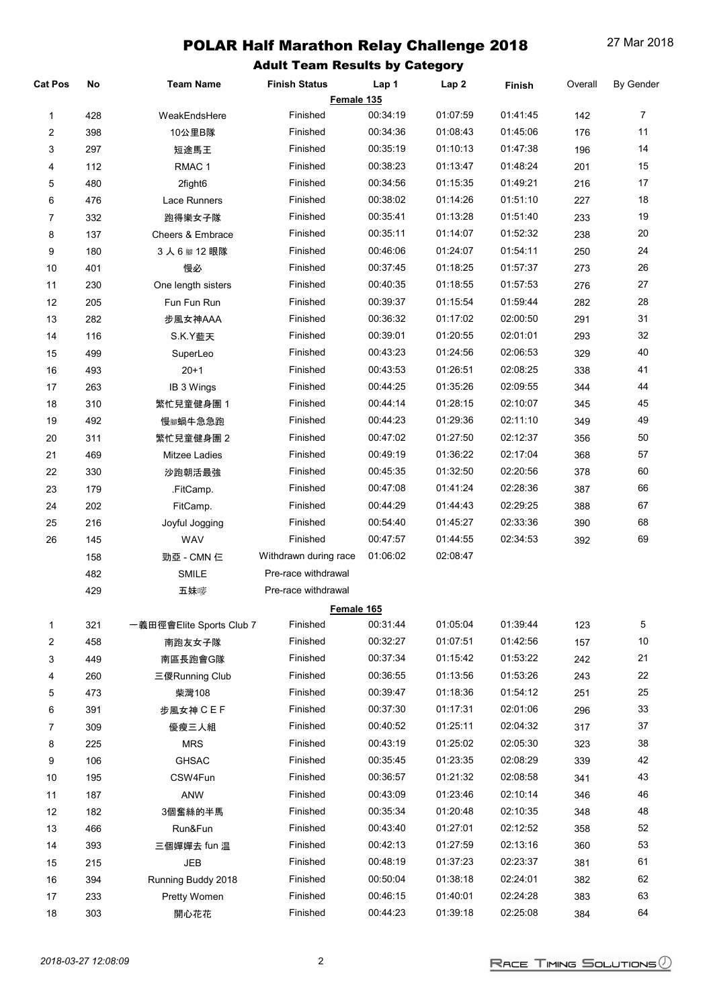| <b>Cat Pos</b> | No  | <b>Team Name</b>         | <b>Finish Status</b>  | Lap 1    | Lap <sub>2</sub> | Finish   | Overall | <b>By Gender</b> |
|----------------|-----|--------------------------|-----------------------|----------|------------------|----------|---------|------------------|
|                |     |                          | Female 135            |          |                  |          |         |                  |
| 1              | 428 | WeakEndsHere             | Finished              | 00:34:19 | 01:07:59         | 01:41:45 | 142     | $\overline{7}$   |
| 2              | 398 | 10公里B隊                   | Finished              | 00:34:36 | 01:08:43         | 01:45:06 | 176     | 11               |
| 3              | 297 | 短途馬王                     | Finished              | 00:35:19 | 01:10:13         | 01:47:38 | 196     | 14               |
| 4              | 112 | RMAC <sub>1</sub>        | Finished              | 00:38:23 | 01:13:47         | 01:48:24 | 201     | 15               |
| 5              | 480 | 2fight6                  | Finished              | 00:34:56 | 01:15:35         | 01:49:21 | 216     | 17               |
| 6              | 476 | Lace Runners             | Finished              | 00:38:02 | 01:14:26         | 01:51:10 | 227     | 18               |
| $\overline{7}$ | 332 | 跑得樂女子隊                   | Finished              | 00:35:41 | 01:13:28         | 01:51:40 | 233     | 19               |
| 8              | 137 | Cheers & Embrace         | Finished              | 00:35:11 | 01:14:07         | 01:52:32 | 238     | 20               |
| 9              | 180 | 3人6腳12眼隊                 | Finished              | 00:46:06 | 01:24:07         | 01:54:11 | 250     | 24               |
| 10             | 401 | 慢必                       | Finished              | 00:37:45 | 01:18:25         | 01:57:37 | 273     | 26               |
| 11             | 230 | One length sisters       | Finished              | 00:40:35 | 01:18:55         | 01:57:53 | 276     | 27               |
| 12             | 205 | Fun Fun Run              | Finished              | 00:39:37 | 01:15:54         | 01:59:44 | 282     | 28               |
| 13             | 282 | 步風女神AAA                  | Finished              | 00:36:32 | 01:17:02         | 02:00:50 | 291     | 31               |
| 14             | 116 | S.K.Y藍天                  | Finished              | 00:39:01 | 01:20:55         | 02:01:01 | 293     | 32               |
| 15             | 499 | SuperLeo                 | Finished              | 00:43:23 | 01:24:56         | 02:06:53 | 329     | 40               |
| 16             | 493 | $20 + 1$                 | Finished              | 00:43:53 | 01:26:51         | 02:08:25 | 338     | 41               |
| 17             | 263 | IB 3 Wings               | Finished              | 00:44:25 | 01:35:26         | 02:09:55 | 344     | 44               |
| 18             | 310 | 繁忙兒童健身團 1                | Finished              | 00:44:14 | 01:28:15         | 02:10:07 | 345     | 45               |
| 19             | 492 | 慢腳蝸牛急急跑                  | Finished              | 00:44:23 | 01:29:36         | 02:11:10 | 349     | 49               |
| 20             | 311 | 繁忙兒童健身團 2                | Finished              | 00:47:02 | 01:27:50         | 02:12:37 | 356     | 50               |
| 21             | 469 | Mitzee Ladies            | Finished              | 00:49:19 | 01:36:22         | 02:17:04 | 368     | 57               |
| 22             | 330 | 沙跑朝活最強                   | Finished              | 00:45:35 | 01:32:50         | 02:20:56 | 378     | 60               |
| 23             | 179 | .FitCamp.                | Finished              | 00:47:08 | 01:41:24         | 02:28:36 | 387     | 66               |
| 24             | 202 | FitCamp.                 | Finished              | 00:44:29 | 01:44:43         | 02:29:25 | 388     | 67               |
| 25             | 216 | Joyful Jogging           | Finished              | 00:54:40 | 01:45:27         | 02:33:36 | 390     | 68               |
| 26             | 145 | WAV                      | Finished              | 00:47:57 | 01:44:55         | 02:34:53 | 392     | 69               |
|                | 158 | 勁亞 - CMN 仨               | Withdrawn during race | 01:06:02 | 02:08:47         |          |         |                  |
|                | 482 | <b>SMILE</b>             | Pre-race withdrawal   |          |                  |          |         |                  |
|                | 429 | 五妹嘜                      | Pre-race withdrawal   |          |                  |          |         |                  |
|                |     |                          | Female 165            |          |                  |          |         |                  |
| 1              | 321 | 一義田徑會Elite Sports Club 7 | Finished              | 00:31:44 | 01:05:04         | 01:39:44 | 123     | 5                |
| 2              | 458 | 南跑友女子隊                   | Finished              | 00:32:27 | 01:07:51         | 01:42:56 | 157     | $10$             |
| 3              | 449 | 南區長跑會G隊                  | Finished              | 00:37:34 | 01:15:42         | 01:53:22 | 242     | 21               |
| 4              | 260 | 三儍Running Club           | Finished              | 00:36:55 | 01:13:56         | 01:53:26 | 243     | 22               |
| 5              | 473 | 柴灣108                    | Finished              | 00:39:47 | 01:18:36         | 01:54:12 | 251     | 25               |
| 6              | 391 | 步風女神 CEF                 | Finished              | 00:37:30 | 01:17:31         | 02:01:06 | 296     | 33               |
| $\overline{7}$ | 309 | 優瘦三人組                    | Finished              | 00:40:52 | 01:25:11         | 02:04:32 | 317     | 37               |
| 8              | 225 | <b>MRS</b>               | Finished              | 00:43:19 | 01:25:02         | 02:05:30 | 323     | 38               |
| 9              | 106 | <b>GHSAC</b>             | Finished              | 00:35:45 | 01:23:35         | 02:08:29 | 339     | 42               |
| $10$           | 195 | CSW4Fun                  | Finished              | 00:36:57 | 01:21:32         | 02:08:58 | 341     | 43               |
| 11             | 187 | ANW                      | Finished              | 00:43:09 | 01:23:46         | 02:10:14 | 346     | 46               |
| 12             | 182 | 3個奮絲的半馬                  | Finished              | 00:35:34 | 01:20:48         | 02:10:35 | 348     | 48               |
| 13             | 466 | Run&Fun                  | Finished              | 00:43:40 | 01:27:01         | 02:12:52 | 358     | 52               |
| 14             | 393 | 三個嬋嬋去 fun 温              | Finished              | 00:42:13 | 01:27:59         | 02:13:16 | 360     | 53               |
| 15             | 215 | JEB                      | Finished              | 00:48:19 | 01:37:23         | 02:23:37 | 381     | 61               |
| $16\,$         | 394 | Running Buddy 2018       | Finished              | 00:50:04 | 01:38:18         | 02:24:01 | 382     | 62               |
| 17             | 233 | Pretty Women             | Finished              | 00:46:15 | 01:40:01         | 02:24:28 | 383     | 63               |
| $18\,$         | 303 | 開心花花                     | Finished              | 00:44:23 | 01:39:18         | 02:25:08 | 384     | 64               |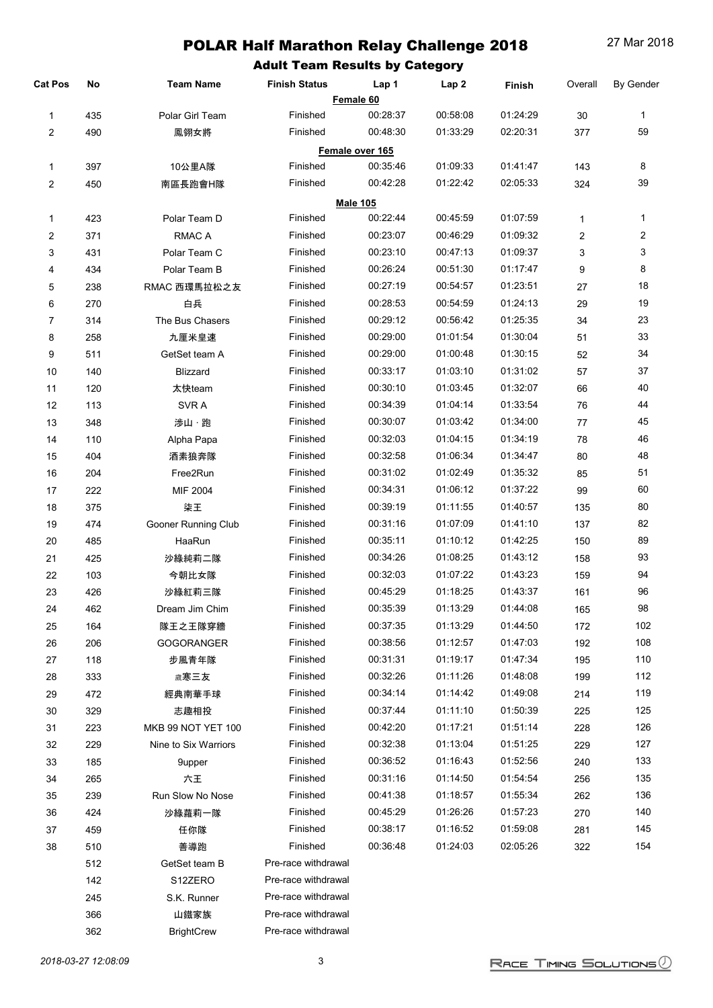### Adult Team Results by Category

| <b>Cat Pos</b>          | No  | <b>Team Name</b>     | <b>Finish Status</b> | Lap 1                 | Lap <sub>2</sub> | Finish   | Overall      | <b>By Gender</b> |
|-------------------------|-----|----------------------|----------------------|-----------------------|------------------|----------|--------------|------------------|
|                         |     |                      |                      | Female 60<br>00:28:37 |                  |          |              |                  |
| $\mathbf{1}$            | 435 | Polar Girl Team      | Finished             |                       | 00:58:08         | 01:24:29 | 30           | 1                |
| $\overline{\mathbf{c}}$ | 490 | 鳳翎女將                 | Finished             | 00:48:30              | 01:33:29         | 02:20:31 | 377          | 59               |
|                         |     |                      |                      | Female over 165       |                  |          |              |                  |
| $\mathbf{1}$            | 397 | 10公里A隊               | Finished             | 00:35:46              | 01:09:33         | 01:41:47 | 143          | 8                |
| 2                       | 450 | 南區長跑會H隊              | Finished             | 00:42:28              | 01:22:42         | 02:05:33 | 324          | 39               |
|                         |     |                      |                      | <b>Male 105</b>       |                  |          |              |                  |
| $\mathbf{1}$            | 423 | Polar Team D         | Finished             | 00:22:44              | 00:45:59         | 01:07:59 | $\mathbf{1}$ | $\mathbf{1}$     |
| 2                       | 371 | <b>RMAC A</b>        | Finished             | 00:23:07              | 00:46:29         | 01:09:32 | 2            | $\overline{2}$   |
| 3                       | 431 | Polar Team C         | Finished             | 00:23:10              | 00:47:13         | 01:09:37 | 3            | 3                |
| 4                       | 434 | Polar Team B         | Finished             | 00:26:24              | 00:51:30         | 01:17:47 | 9            | 8                |
| 5                       | 238 | RMAC 西環馬拉松之友         | Finished             | 00:27:19              | 00:54:57         | 01:23:51 | $27\,$       | 18               |
| 6                       | 270 | 白兵                   | Finished             | 00:28:53              | 00:54:59         | 01:24:13 | 29           | 19               |
| 7                       | 314 | The Bus Chasers      | Finished             | 00:29:12              | 00:56:42         | 01:25:35 | 34           | 23               |
| 8                       | 258 | 九厘米皇速                | Finished             | 00:29:00              | 01:01:54         | 01:30:04 | 51           | 33               |
| 9                       | 511 | GetSet team A        | Finished             | 00:29:00              | 01:00:48         | 01:30:15 | 52           | 34               |
| 10                      | 140 | Blizzard             | Finished             | 00:33:17              | 01:03:10         | 01:31:02 | 57           | 37               |
| 11                      | 120 | 太快team               | Finished             | 00:30:10              | 01:03:45         | 01:32:07 | 66           | 40               |
| 12                      | 113 | SVR A                | Finished             | 00:34:39              | 01:04:14         | 01:33:54 | 76           | 44               |
| 13                      | 348 | 涉山·跑                 | Finished             | 00:30:07              | 01:03:42         | 01:34:00 | 77           | 45               |
| 14                      | 110 | Alpha Papa           | Finished             | 00:32:03              | 01:04:15         | 01:34:19 | 78           | 46               |
| 15                      | 404 | 酒素狼奔隊                | Finished             | 00:32:58              | 01:06:34         | 01:34:47 | 80           | 48               |
| 16                      | 204 | Free2Run             | Finished             | 00:31:02              | 01:02:49         | 01:35:32 | 85           | 51               |
| 17                      | 222 | MIF 2004             | Finished             | 00:34:31              | 01:06:12         | 01:37:22 | 99           | 60               |
| 18                      | 375 | 柒王                   | Finished             | 00:39:19              | 01:11:55         | 01:40:57 | 135          | 80               |
| 19                      | 474 | Gooner Running Club  | Finished             | 00:31:16              | 01:07:09         | 01:41:10 | 137          | 82               |
| 20                      | 485 | HaaRun               | Finished             | 00:35:11              | 01:10:12         | 01:42:25 | 150          | 89               |
| 21                      | 425 | 沙綠純莉二隊               | Finished             | 00:34:26              | 01:08:25         | 01:43:12 | 158          | 93               |
| 22                      | 103 | 今朝比女隊                | Finished             | 00:32:03              | 01:07:22         | 01:43:23 | 159          | 94               |
| 23                      | 426 | 沙綠紅莉三隊               | Finished             | 00:45:29              | 01:18:25         | 01:43:37 | 161          | 96               |
| 24                      | 462 | Dream Jim Chim       | Finished             | 00:35:39              | 01:13:29         | 01:44:08 | 165          | 98               |
| 25                      | 164 | 隊王之王隊穿牆              | Finished             | 00:37:35              | 01:13:29         | 01:44:50 | 172          | 102              |
| 26                      | 206 | <b>GOGORANGER</b>    | Finished             | 00:38:56              | 01:12:57         | 01:47:03 | 192          | 108              |
| 27                      | 118 | 步風青年隊                | Finished             | 00:31:31              | 01:19:17         | 01:47:34 | 195          | 110              |
| 28                      | 333 | 歲寒三友                 | Finished             | 00:32:26              | 01:11:26         | 01:48:08 | 199          | 112              |
| 29                      | 472 | 經典南華手球               | Finished             | 00:34:14              | 01:14:42         | 01:49:08 | 214          | 119              |
| 30                      | 329 | 志趣相投                 | Finished             | 00:37:44              | 01:11:10         | 01:50:39 | 225          | 125              |
| 31                      | 223 | MKB 99 NOT YET 100   | Finished             | 00:42:20              | 01:17:21         | 01:51:14 | 228          | 126              |
| 32                      | 229 | Nine to Six Warriors | Finished             | 00:32:38              | 01:13:04         | 01:51:25 | 229          | 127              |
| 33                      | 185 | 9upper               | Finished             | 00:36:52              | 01:16:43         | 01:52:56 | 240          | 133              |
| 34                      | 265 | 六王                   | Finished             | 00:31:16              | 01:14:50         | 01:54:54 | 256          | 135              |
| 35                      | 239 | Run Slow No Nose     | Finished             | 00:41:38              | 01:18:57         | 01:55:34 | 262          | 136              |
| 36                      | 424 | 沙綠蘿莉一隊               | Finished             | 00:45:29              | 01:26:26         | 01:57:23 | 270          | 140              |
| 37                      | 459 | 任你隊                  | Finished             | 00:38:17              | 01:16:52         | 01:59:08 | 281          | 145              |
| 38                      | 510 | 善導跑                  | Finished             | 00:36:48              | 01:24:03         | 02:05:26 | 322          | 154              |
|                         | 512 | GetSet team B        | Pre-race withdrawal  |                       |                  |          |              |                  |
|                         | 142 | S12ZERO              | Pre-race withdrawal  |                       |                  |          |              |                  |
|                         | 245 | S.K. Runner          | Pre-race withdrawal  |                       |                  |          |              |                  |
|                         | 366 | 山鐵家族                 | Pre-race withdrawal  |                       |                  |          |              |                  |
|                         |     |                      |                      |                       |                  |          |              |                  |

362 BrightCrew Pre-race withdrawal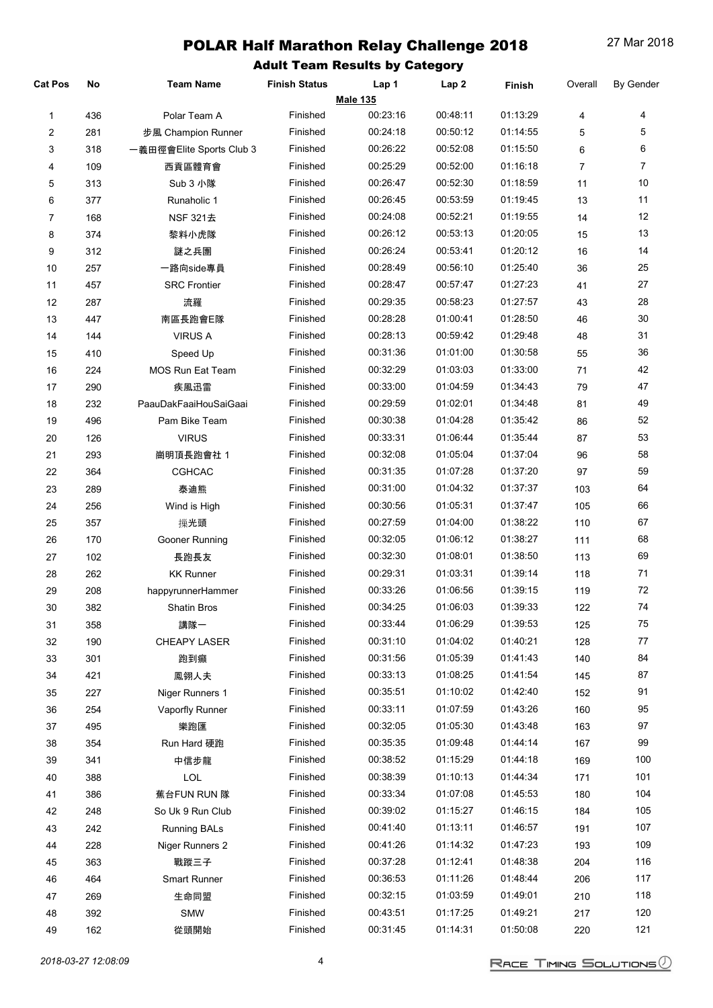| <b>Cat Pos</b> | No  | <b>Team Name</b>         | <b>Finish Status</b> | Lap 1           | Lap <sub>2</sub> | Finish   | Overall        | <b>By Gender</b> |
|----------------|-----|--------------------------|----------------------|-----------------|------------------|----------|----------------|------------------|
|                |     |                          |                      | <b>Male 135</b> |                  |          |                |                  |
| 1              | 436 | Polar Team A             | Finished             | 00:23:16        | 00:48:11         | 01:13:29 | 4              | 4                |
| 2              | 281 | 步風 Champion Runner       | Finished             | 00:24:18        | 00:50:12         | 01:14:55 | 5              | 5                |
| 3              | 318 | 一義田徑會Elite Sports Club 3 | Finished             | 00:26:22        | 00:52:08         | 01:15:50 | 6              | 6                |
| 4              | 109 | 西貢區體育會                   | Finished             | 00:25:29        | 00:52:00         | 01:16:18 | $\overline{7}$ | $\overline{7}$   |
| 5              | 313 | Sub 3 小隊                 | Finished             | 00:26:47        | 00:52:30         | 01:18:59 | 11             | 10               |
| 6              | 377 | Runaholic 1              | Finished             | 00:26:45        | 00:53:59         | 01:19:45 | 13             | 11               |
| 7              | 168 | NSF 321去                 | Finished             | 00:24:08        | 00:52:21         | 01:19:55 | 14             | 12               |
| 8              | 374 | 黎料小虎隊                    | Finished             | 00:26:12        | 00:53:13         | 01:20:05 | 15             | 13               |
| 9              | 312 | 謎之兵團                     | Finished             | 00:26:24        | 00:53:41         | 01:20:12 | 16             | 14               |
| 10             | 257 | 一路向side專員                | Finished             | 00:28:49        | 00:56:10         | 01:25:40 | 36             | 25               |
| 11             | 457 | <b>SRC Frontier</b>      | Finished             | 00:28:47        | 00:57:47         | 01:27:23 | 41             | 27               |
| 12             | 287 | 流羅                       | Finished             | 00:29:35        | 00:58:23         | 01:27:57 | 43             | 28               |
| 13             | 447 | 南區長跑會E隊                  | Finished             | 00:28:28        | 01:00:41         | 01:28:50 | 46             | 30               |
| 14             | 144 | <b>VIRUS A</b>           | Finished             | 00:28:13        | 00:59:42         | 01:29:48 | 48             | 31               |
| 15             | 410 | Speed Up                 | Finished             | 00:31:36        | 01:01:00         | 01:30:58 | 55             | 36               |
| 16             | 224 | <b>MOS Run Eat Team</b>  | Finished             | 00:32:29        | 01:03:03         | 01:33:00 | 71             | 42               |
| 17             | 290 | 疾風迅雷                     | Finished             | 00:33:00        | 01:04:59         | 01:34:43 | 79             | 47               |
| 18             | 232 | PaauDakFaaiHouSaiGaai    | Finished             | 00:29:59        | 01:02:01         | 01:34:48 | 81             | 49               |
| 19             | 496 | Pam Bike Team            | Finished             | 00:30:38        | 01:04:28         | 01:35:42 | 86             | 52               |
| 20             | 126 | <b>VIRUS</b>             | Finished             | 00:33:31        | 01:06:44         | 01:35:44 | 87             | 53               |
| 21             | 293 | 崗明頂長跑會社 1                | Finished             | 00:32:08        | 01:05:04         | 01:37:04 | 96             | 58               |
| 22             | 364 | CGHCAC                   | Finished             | 00:31:35        | 01:07:28         | 01:37:20 | 97             | 59               |
| 23             | 289 | 泰迪熊                      | Finished             | 00:31:00        | 01:04:32         | 01:37:37 | 103            | 64               |
| 24             | 256 | Wind is High             | Finished             | 00:30:56        | 01:05:31         | 01:37:47 | 105            | 66               |
| 25             | 357 | 摷光頭                      | Finished             | 00:27:59        | 01:04:00         | 01:38:22 | 110            | 67               |
| 26             | 170 | Gooner Running           | Finished             | 00:32:05        | 01:06:12         | 01:38:27 | 111            | 68               |
| 27             | 102 | 長跑長友                     | Finished             | 00:32:30        | 01:08:01         | 01:38:50 | 113            | 69               |
| 28             | 262 | <b>KK Runner</b>         | Finished             | 00:29:31        | 01:03:31         | 01:39:14 | 118            | 71               |
| 29             | 208 | happyrunnerHammer        | Finished             | 00:33:26        | 01:06:56         | 01:39:15 | 119            | 72               |
| 30             | 382 | <b>Shatin Bros</b>       | Finished             | 00:34:25        | 01:06:03         | 01:39:33 | 122            | 74               |
| 31             | 358 | 講隊一                      | Finished             | 00:33:44        | 01:06:29         | 01:39:53 | 125            | 75               |
| 32             | 190 | CHEAPY LASER             | Finished             | 00:31:10        | 01:04:02         | 01:40:21 | 128            | 77               |
| 33             | 301 | 跑到癲                      | Finished             | 00:31:56        | 01:05:39         | 01:41:43 | 140            | 84               |
| 34             | 421 | 鳳翎人夫                     | Finished             | 00:33:13        | 01:08:25         | 01:41:54 | 145            | 87               |
| $35\,$         | 227 | Niger Runners 1          | Finished             | 00:35:51        | 01:10:02         | 01:42:40 | 152            | 91               |
| $36\,$         | 254 | Vaporfly Runner          | Finished             | 00:33:11        | 01:07:59         | 01:43:26 | 160            | 95               |
| 37             | 495 | 樂跑匯                      | Finished             | 00:32:05        | 01:05:30         | 01:43:48 | 163            | 97               |
| 38             | 354 | Run Hard 硬跑              | Finished             | 00:35:35        | 01:09:48         | 01:44:14 | 167            | 99               |
| 39             | 341 | 中信步龍                     | Finished             | 00:38:52        | 01:15:29         | 01:44:18 | 169            | 100              |
| 40             | 388 | LOL                      | Finished             | 00:38:39        | 01:10:13         | 01:44:34 | 171            | 101              |
| 41             | 386 | 蕉台FUN RUN 隊              | Finished             | 00:33:34        | 01:07:08         | 01:45:53 | 180            | 104              |
| 42             | 248 | So Uk 9 Run Club         | Finished             | 00:39:02        | 01:15:27         | 01:46:15 | 184            | 105              |
| 43             | 242 | <b>Running BALs</b>      | Finished             | 00:41:40        | 01:13:11         | 01:46:57 | 191            | 107              |
| 44             | 228 | Niger Runners 2          | Finished             | 00:41:26        | 01:14:32         | 01:47:23 | 193            | 109              |
| 45             | 363 | 戰蹤三子                     | Finished             | 00:37:28        | 01:12:41         | 01:48:38 | 204            | 116              |
| 46             | 464 | <b>Smart Runner</b>      | Finished             | 00:36:53        | 01:11:26         | 01:48:44 | 206            | 117              |
| 47             | 269 | 生命同盟                     | Finished             | 00:32:15        | 01:03:59         | 01:49:01 | 210            | 118              |
| 48             | 392 | SMW                      | Finished             | 00:43:51        | 01:17:25         | 01:49:21 | 217            | 120              |
| 49             | 162 | 從頭開始                     | Finished             | 00:31:45        | 01:14:31         | 01:50:08 | 220            | 121              |
|                |     |                          |                      |                 |                  |          |                |                  |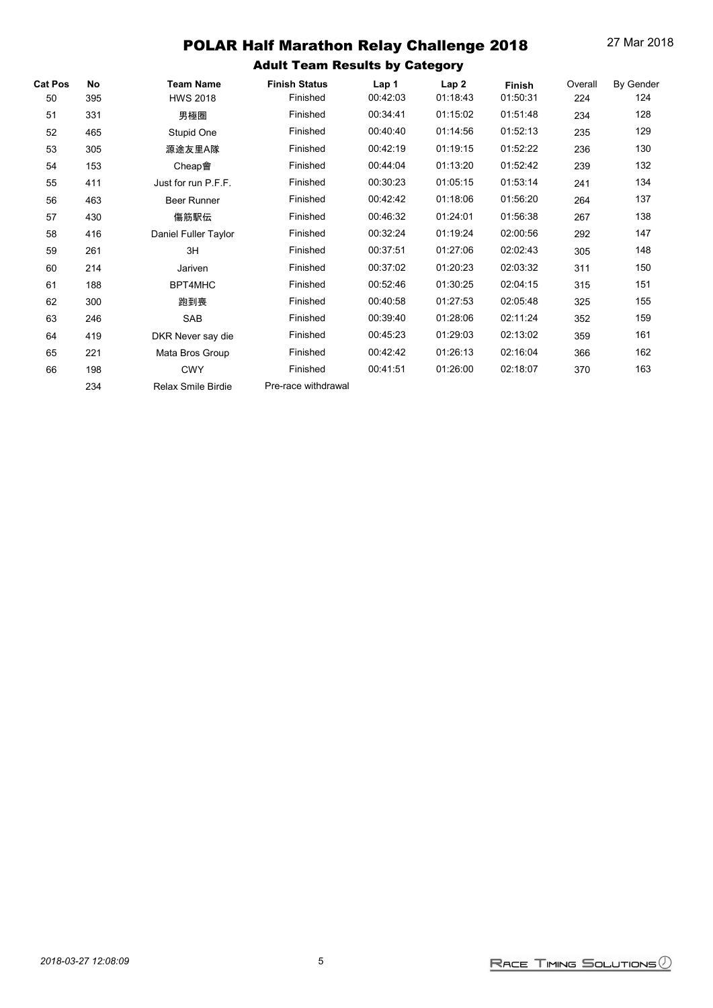| <b>Cat Pos</b> | No  | <b>Team Name</b>          | <b>Finish Status</b> | Lap 1    | Lap <sub>2</sub> | <b>Finish</b> | Overall | By Gender |
|----------------|-----|---------------------------|----------------------|----------|------------------|---------------|---------|-----------|
| 50             | 395 | <b>HWS 2018</b>           | Finished             | 00:42:03 | 01:18:43         | 01:50:31      | 224     | 124       |
| 51             | 331 | 男極圈                       | Finished             | 00:34:41 | 01:15:02         | 01:51:48      | 234     | 128       |
| 52             | 465 | Stupid One                | Finished             | 00:40:40 | 01:14:56         | 01:52:13      | 235     | 129       |
| 53             | 305 | 源途友里A隊                    | Finished             | 00:42:19 | 01:19:15         | 01:52:22      | 236     | 130       |
| 54             | 153 | Cheap會                    | Finished             | 00:44:04 | 01:13:20         | 01:52:42      | 239     | 132       |
| 55             | 411 | Just for run P.F.F.       | Finished             | 00:30:23 | 01:05:15         | 01:53:14      | 241     | 134       |
| 56             | 463 | <b>Beer Runner</b>        | Finished             | 00:42:42 | 01:18:06         | 01:56:20      | 264     | 137       |
| 57             | 430 | 傷筋駅伝                      | Finished             | 00:46:32 | 01:24:01         | 01:56:38      | 267     | 138       |
| 58             | 416 | Daniel Fuller Taylor      | Finished             | 00:32:24 | 01:19:24         | 02:00:56      | 292     | 147       |
| 59             | 261 | 3H                        | Finished             | 00:37:51 | 01:27:06         | 02:02:43      | 305     | 148       |
| 60             | 214 | Jariven                   | Finished             | 00:37:02 | 01:20:23         | 02:03:32      | 311     | 150       |
| 61             | 188 | BPT4MHC                   | Finished             | 00:52:46 | 01:30:25         | 02:04:15      | 315     | 151       |
| 62             | 300 | 跑到喪                       | Finished             | 00:40:58 | 01:27:53         | 02:05:48      | 325     | 155       |
| 63             | 246 | SAB                       | Finished             | 00:39:40 | 01:28:06         | 02:11:24      | 352     | 159       |
| 64             | 419 | DKR Never say die         | Finished             | 00:45:23 | 01:29:03         | 02:13:02      | 359     | 161       |
| 65             | 221 | Mata Bros Group           | Finished             | 00:42:42 | 01:26:13         | 02:16:04      | 366     | 162       |
| 66             | 198 | <b>CWY</b>                | Finished             | 00:41:51 | 01:26:00         | 02:18:07      | 370     | 163       |
|                | 234 | <b>Relax Smile Birdie</b> | Pre-race withdrawal  |          |                  |               |         |           |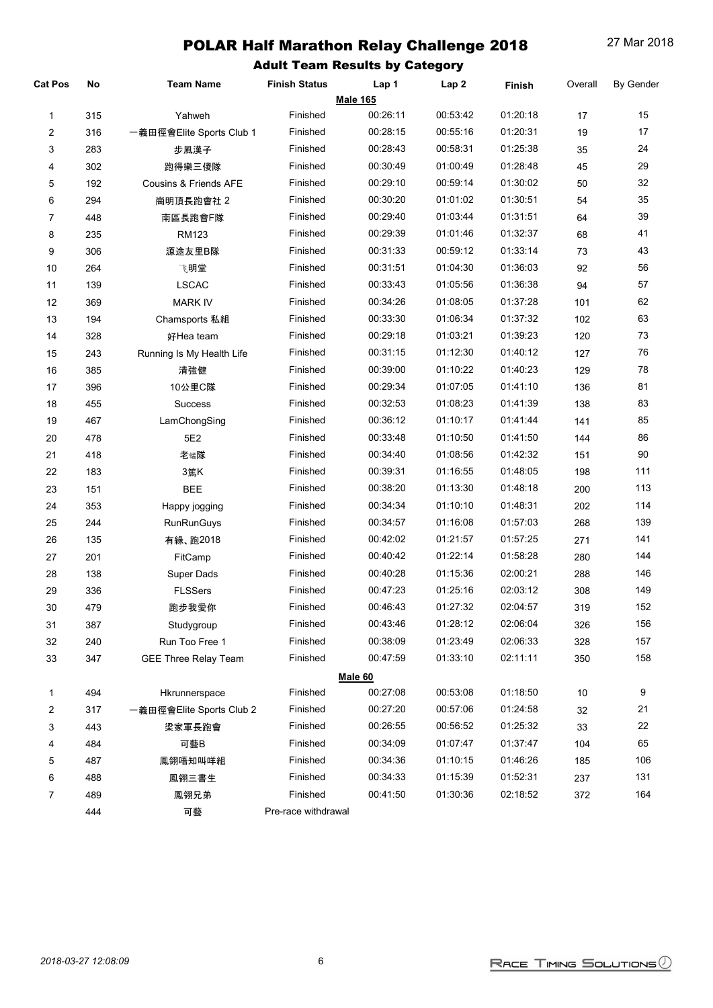| <b>Cat Pos</b> | No  | <b>Team Name</b>            | <b>Finish Status</b> | Lap 1           | Lap <sub>2</sub> | Finish   | Overall | By Gender |
|----------------|-----|-----------------------------|----------------------|-----------------|------------------|----------|---------|-----------|
|                |     |                             |                      | <b>Male 165</b> |                  |          |         |           |
| 1              | 315 | Yahweh                      | Finished             | 00:26:11        | 00:53:42         | 01:20:18 | 17      | 15        |
| 2              | 316 | 一義田徑會Elite Sports Club 1    | Finished             | 00:28:15        | 00:55:16         | 01:20:31 | 19      | 17        |
| 3              | 283 | 步風漢子                        | Finished             | 00:28:43        | 00:58:31         | 01:25:38 | 35      | 24        |
| 4              | 302 | 跑得樂三傻隊                      | Finished             | 00:30:49        | 01:00:49         | 01:28:48 | 45      | 29        |
| 5              | 192 | Cousins & Friends AFE       | Finished             | 00:29:10        | 00:59:14         | 01:30:02 | 50      | 32        |
| 6              | 294 | 崗明頂長跑會社 2                   | Finished             | 00:30:20        | 01:01:02         | 01:30:51 | 54      | 35        |
| $\overline{7}$ | 448 | 南區長跑會F隊                     | Finished             | 00:29:40        | 01:03:44         | 01:31:51 | 64      | 39        |
| 8              | 235 | <b>RM123</b>                | Finished             | 00:29:39        | 01:01:46         | 01:32:37 | 68      | 41        |
| 9              | 306 | 源途友里B隊                      | Finished             | 00:31:33        | 00:59:12         | 01:33:14 | 73      | 43        |
| 10             | 264 | 飞明堂                         | Finished             | 00:31:51        | 01:04:30         | 01:36:03 | 92      | 56        |
| 11             | 139 | <b>LSCAC</b>                | Finished             | 00:33:43        | 01:05:56         | 01:36:38 | 94      | 57        |
| 12             | 369 | <b>MARK IV</b>              | Finished             | 00:34:26        | 01:08:05         | 01:37:28 | 101     | 62        |
| 13             | 194 | Chamsports 私組               | Finished             | 00:33:30        | 01:06:34         | 01:37:32 | 102     | 63        |
| 14             | 328 | 好Hea team                   | Finished             | 00:29:18        | 01:03:21         | 01:39:23 | 120     | 73        |
| 15             | 243 | Running Is My Health Life   | Finished             | 00:31:15        | 01:12:30         | 01:40:12 | 127     | 76        |
| 16             | 385 | 清強健                         | Finished             | 00:39:00        | 01:10:22         | 01:40:23 | 129     | 78        |
| 17             | 396 | 10公里C隊                      | Finished             | 00:29:34        | 01:07:05         | 01:41:10 | 136     | 81        |
| 18             | 455 | <b>Success</b>              | Finished             | 00:32:53        | 01:08:23         | 01:41:39 | 138     | 83        |
| 19             | 467 | LamChongSing                | Finished             | 00:36:12        | 01:10:17         | 01:41:44 | 141     | 85        |
| 20             | 478 | 5E2                         | Finished             | 00:33:48        | 01:10:50         | 01:41:50 | 144     | 86        |
| 21             | 418 | 老蜢隊                         | Finished             | 00:34:40        | 01:08:56         | 01:42:32 | 151     | 90        |
| 22             | 183 | 3篤K                         | Finished             | 00:39:31        | 01:16:55         | 01:48:05 | 198     | 111       |
| 23             | 151 | <b>BEE</b>                  | Finished             | 00:38:20        | 01:13:30         | 01:48:18 | 200     | 113       |
| 24             | 353 | Happy jogging               | Finished             | 00:34:34        | 01:10:10         | 01:48:31 | 202     | 114       |
| 25             | 244 | RunRunGuys                  | Finished             | 00:34:57        | 01:16:08         | 01:57:03 | 268     | 139       |
| 26             | 135 | 有緣、跑2018                    | Finished             | 00:42:02        | 01:21:57         | 01:57:25 | 271     | 141       |
| 27             | 201 | FitCamp                     | Finished             | 00:40:42        | 01:22:14         | 01:58:28 | 280     | 144       |
| 28             | 138 | Super Dads                  | Finished             | 00:40:28        | 01:15:36         | 02:00:21 | 288     | 146       |
| 29             | 336 | <b>FLSSers</b>              | Finished             | 00:47:23        | 01:25:16         | 02:03:12 | 308     | 149       |
| 30             | 479 | 跑步我愛你                       | Finished             | 00:46:43        | 01:27:32         | 02:04:57 | 319     | 152       |
| 31             | 387 | Studygroup                  | Finished             | 00:43:46        | 01:28:12         | 02:06:04 | 326     | 156       |
| 32             | 240 | Run Too Free 1              | Finished             | 00:38:09        | 01:23:49         | 02:06:33 | 328     | 157       |
| 33             | 347 | <b>GEE Three Relay Team</b> | Finished             | 00:47:59        | 01:33:10         | 02:11:11 | 350     | 158       |
|                |     |                             |                      | Male 60         |                  |          |         |           |
| 1              | 494 | Hkrunnerspace               | Finished             | 00:27:08        | 00:53:08         | 01:18:50 | 10      | 9         |
| 2              | 317 | 一義田徑會Elite Sports Club 2    | Finished             | 00:27:20        | 00:57:06         | 01:24:58 | 32      | 21        |
| 3              | 443 | 梁家軍長跑會                      | Finished             | 00:26:55        | 00:56:52         | 01:25:32 | 33      | 22        |
| 4              | 484 | 可藝B                         | Finished             | 00:34:09        | 01:07:47         | 01:37:47 | 104     | 65        |
| 5              | 487 | 鳳翎唔知叫咩組                     | Finished             | 00:34:36        | 01:10:15         | 01:46:26 | 185     | 106       |
| 6              | 488 | 鳳翎三書生                       | Finished             | 00:34:33        | 01:15:39         | 01:52:31 | 237     | 131       |
| 7              | 489 | 鳳翎兄弟                        | Finished             | 00:41:50        | 01:30:36         | 02:18:52 | 372     | 164       |
|                | 444 | 可藝                          | Pre-race withdrawal  |                 |                  |          |         |           |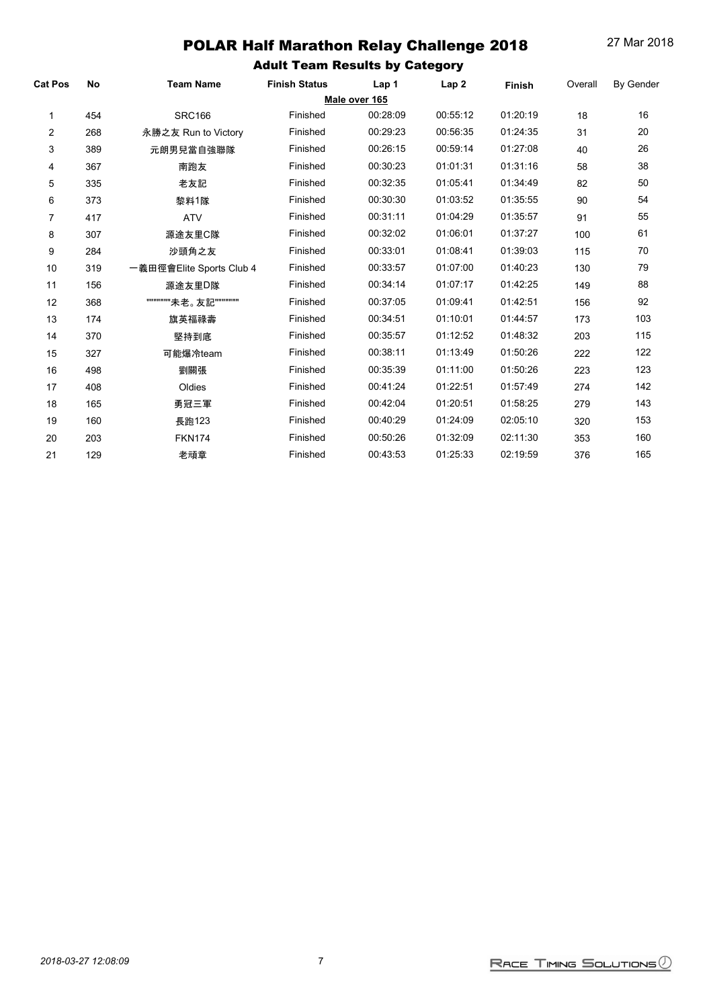| <b>Cat Pos</b> | No  | <b>Team Name</b>         | <b>Finish Status</b> | Lap 1         | Lap2     | <b>Finish</b> | Overall | <b>By Gender</b> |
|----------------|-----|--------------------------|----------------------|---------------|----------|---------------|---------|------------------|
|                |     |                          |                      | Male over 165 |          |               |         |                  |
| 1              | 454 | <b>SRC166</b>            | Finished             | 00:28:09      | 00:55:12 | 01:20:19      | 18      | 16               |
| 2              | 268 | 永勝之友 Run to Victory      | Finished             | 00:29:23      | 00:56:35 | 01:24:35      | 31      | 20               |
| 3              | 389 | 元朗男兒當自強聯隊                | Finished             | 00:26:15      | 00:59:14 | 01:27:08      | 40      | 26               |
| 4              | 367 | 南跑友                      | Finished             | 00:30:23      | 01:01:31 | 01:31:16      | 58      | 38               |
| 5              | 335 | 老友記                      | Finished             | 00:32:35      | 01:05:41 | 01:34:49      | 82      | 50               |
| 6              | 373 | 黎料1隊                     | Finished             | 00:30:30      | 01:03:52 | 01:35:55      | 90      | 54               |
| $\overline{7}$ | 417 | <b>ATV</b>               | Finished             | 00:31:11      | 01:04:29 | 01:35:57      | 91      | 55               |
| 8              | 307 | 源途友里C隊                   | Finished             | 00:32:02      | 01:06:01 | 01:37:27      | 100     | 61               |
| 9              | 284 | 沙頭角之友                    | Finished             | 00:33:01      | 01:08:41 | 01:39:03      | 115     | 70               |
| 10             | 319 | 一義田徑會Elite Sports Club 4 | Finished             | 00:33:57      | 01:07:00 | 01:40:23      | 130     | 79               |
| 11             | 156 | 源途友里D隊                   | Finished             | 00:34:14      | 01:07:17 | 01:42:25      | 149     | 88               |
| 12             | 368 | """"""未老。友記"""""""       | Finished             | 00:37:05      | 01:09:41 | 01:42:51      | 156     | 92               |
| 13             | 174 | 旗英福祿壽                    | Finished             | 00:34:51      | 01:10:01 | 01:44:57      | 173     | 103              |
| 14             | 370 | 堅持到底                     | Finished             | 00:35:57      | 01:12:52 | 01:48:32      | 203     | 115              |
| 15             | 327 | 可能爆冷team                 | Finished             | 00:38:11      | 01:13:49 | 01:50:26      | 222     | 122              |
| 16             | 498 | 劉關張                      | Finished             | 00:35:39      | 01:11:00 | 01:50:26      | 223     | 123              |
| 17             | 408 | Oldies                   | Finished             | 00:41:24      | 01:22:51 | 01:57:49      | 274     | 142              |
| 18             | 165 | 勇冠三軍                     | Finished             | 00:42:04      | 01:20:51 | 01:58:25      | 279     | 143              |
| 19             | 160 | 長跑123                    | Finished             | 00:40:29      | 01:24:09 | 02:05:10      | 320     | 153              |
| 20             | 203 | <b>FKN174</b>            | Finished             | 00:50:26      | 01:32:09 | 02:11:30      | 353     | 160              |
| 21             | 129 | 老頑章                      | Finished             | 00:43:53      | 01:25:33 | 02:19:59      | 376     | 165              |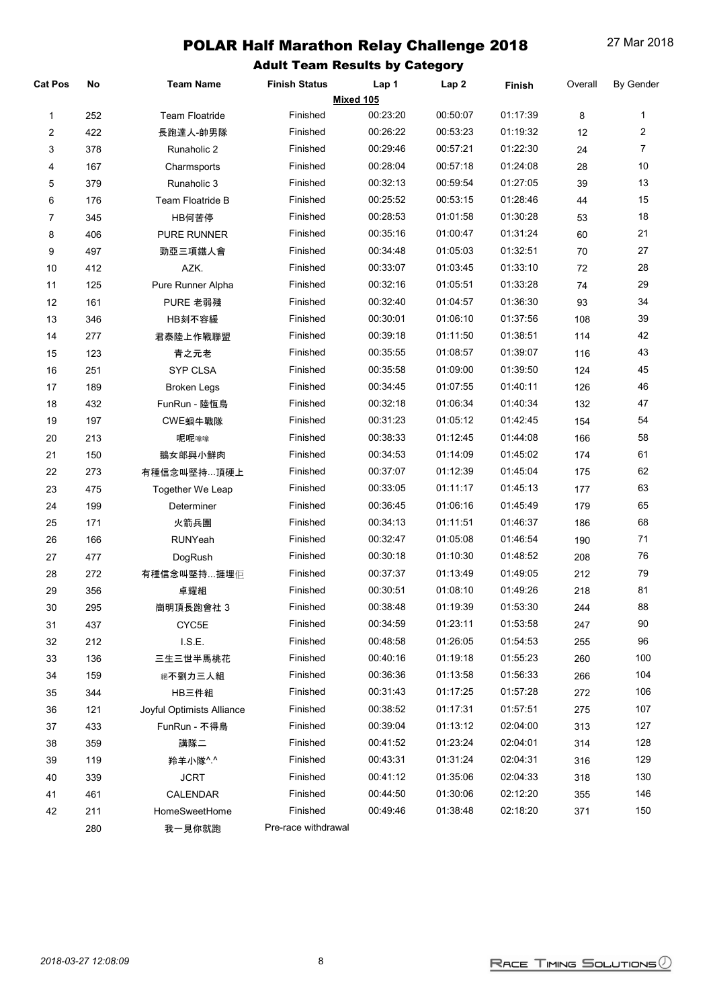| <b>Cat Pos</b>   | No  | <b>Team Name</b>          | <b>Finish Status</b> | Lap 1    | Lap <sub>2</sub> | Finish   | Overall | <b>By Gender</b> |
|------------------|-----|---------------------------|----------------------|----------|------------------|----------|---------|------------------|
|                  |     |                           | Mixed 105            |          |                  |          |         |                  |
| $\mathbf{1}$     | 252 | <b>Team Floatride</b>     | Finished             | 00:23:20 | 00:50:07         | 01:17:39 | 8       | 1                |
| $\overline{2}$   | 422 | 長跑達人-帥男隊                  | Finished             | 00:26:22 | 00:53:23         | 01:19:32 | 12      | $\overline{c}$   |
| 3                | 378 | Runaholic 2               | Finished             | 00:29:46 | 00:57:21         | 01:22:30 | 24      | $\overline{7}$   |
| 4                | 167 | Charmsports               | Finished             | 00:28:04 | 00:57:18         | 01:24:08 | 28      | 10               |
| 5                | 379 | Runaholic 3               | Finished             | 00:32:13 | 00:59:54         | 01:27:05 | 39      | 13               |
| 6                | 176 | Team Floatride B          | Finished             | 00:25:52 | 00:53:15         | 01:28:46 | 44      | 15               |
| $\boldsymbol{7}$ | 345 | HB何苦停                     | Finished             | 00:28:53 | 01:01:58         | 01:30:28 | 53      | 18               |
| 8                | 406 | PURE RUNNER               | Finished             | 00:35:16 | 01:00:47         | 01:31:24 | 60      | 21               |
| 9                | 497 | 勁亞三項鐵人會                   | Finished             | 00:34:48 | 01:05:03         | 01:32:51 | 70      | 27               |
| 10               | 412 | AZK.                      | Finished             | 00:33:07 | 01:03:45         | 01:33:10 | 72      | 28               |
| 11               | 125 | Pure Runner Alpha         | Finished             | 00:32:16 | 01:05:51         | 01:33:28 | 74      | 29               |
| 12               | 161 | PURE 老弱殘                  | Finished             | 00:32:40 | 01:04:57         | 01:36:30 | 93      | 34               |
| 13               | 346 | HB刻不容緩                    | Finished             | 00:30:01 | 01:06:10         | 01:37:56 | 108     | 39               |
| 14               | 277 | 君泰陸上作戰聯盟                  | Finished             | 00:39:18 | 01:11:50         | 01:38:51 | 114     | 42               |
| 15               | 123 | 青之元老                      | Finished             | 00:35:55 | 01:08:57         | 01:39:07 | 116     | 43               |
| 16               | 251 | SYP CLSA                  | Finished             | 00:35:58 | 01:09:00         | 01:39:50 | 124     | 45               |
| 17               | 189 | <b>Broken Legs</b>        | Finished             | 00:34:45 | 01:07:55         | 01:40:11 | 126     | 46               |
| 18               | 432 | FunRun - 陸恆鳥              | Finished             | 00:32:18 | 01:06:34         | 01:40:34 | 132     | 47               |
| 19               | 197 | CWE蝸牛戰隊                   | Finished             | 00:31:23 | 01:05:12         | 01:42:45 | 154     | 54               |
| 20               | 213 | 呢呢嗱嗱                      | Finished             | 00:38:33 | 01:12:45         | 01:44:08 | 166     | 58               |
| 21               | 150 | 鵝女郎與小鮮肉                   | Finished             | 00:34:53 | 01:14:09         | 01:45:02 | 174     | 61               |
| 22               | 273 | 有種信念叫堅持…頂硬上               | Finished             | 00:37:07 | 01:12:39         | 01:45:04 | 175     | 62               |
| 23               | 475 | Together We Leap          | Finished             | 00:33:05 | 01:11:17         | 01:45:13 | 177     | 63               |
| 24               | 199 | Determiner                | Finished             | 00:36:45 | 01:06:16         | 01:45:49 | 179     | 65               |
| 25               | 171 | 火箭兵團                      | Finished             | 00:34:13 | 01:11:51         | 01:46:37 | 186     | 68               |
| 26               | 166 | RUNYeah                   | Finished             | 00:32:47 | 01:05:08         | 01:46:54 | 190     | 71               |
| 27               | 477 | DogRush                   | Finished             | 00:30:18 | 01:10:30         | 01:48:52 | 208     | 76               |
| 28               | 272 | 有種信念叫堅持…捱埋佢               | Finished             | 00:37:37 | 01:13:49         | 01:49:05 | 212     | 79               |
| 29               | 356 | 卓耀組                       | Finished             | 00:30:51 | 01:08:10         | 01:49:26 | 218     | 81               |
| 30               | 295 | 崗明頂長跑會社 3                 | Finished             | 00:38:48 | 01:19:39         | 01:53:30 | 244     | 88               |
| 31               | 437 | CYC5E                     | Finished             | 00:34:59 | 01:23:11         | 01:53:58 | 247     | 90               |
| 32               | 212 | I.S.E.                    | Finished             | 00:48:58 | 01:26:05         | 01:54:53 | 255     | 96               |
| 33               | 136 | 三生三世半馬桃花                  | Finished             | 00:40:16 | 01:19:18         | 01:55:23 | 260     | 100              |
| 34               | 159 | 絶不劉力三人組                   | Finished             | 00:36:36 | 01:13:58         | 01:56:33 | 266     | 104              |
| 35               | 344 | HB三件組                     | Finished             | 00:31:43 | 01:17:25         | 01:57:28 | 272     | 106              |
| 36               | 121 | Joyful Optimists Alliance | Finished             | 00:38:52 | 01:17:31         | 01:57:51 | 275     | 107              |
| 37               | 433 | FunRun - 不得鳥              | Finished             | 00:39:04 | 01:13:12         | 02:04:00 | 313     | 127              |
| 38               | 359 | 講隊二                       | Finished             | 00:41:52 | 01:23:24         | 02:04:01 | 314     | 128              |
| 39               | 119 | 羚羊小隊^^                    | Finished             | 00:43:31 | 01:31:24         | 02:04:31 | 316     | 129              |
| 40               | 339 | <b>JCRT</b>               | Finished             | 00:41:12 | 01:35:06         | 02:04:33 | 318     | 130              |
| 41               | 461 | CALENDAR                  | Finished             | 00:44:50 | 01:30:06         | 02:12:20 | 355     | 146              |
| 42               | 211 | HomeSweetHome             | Finished             | 00:49:46 | 01:38:48         | 02:18:20 | 371     | 150              |
|                  | 280 | 我一見你就跑                    | Pre-race withdrawal  |          |                  |          |         |                  |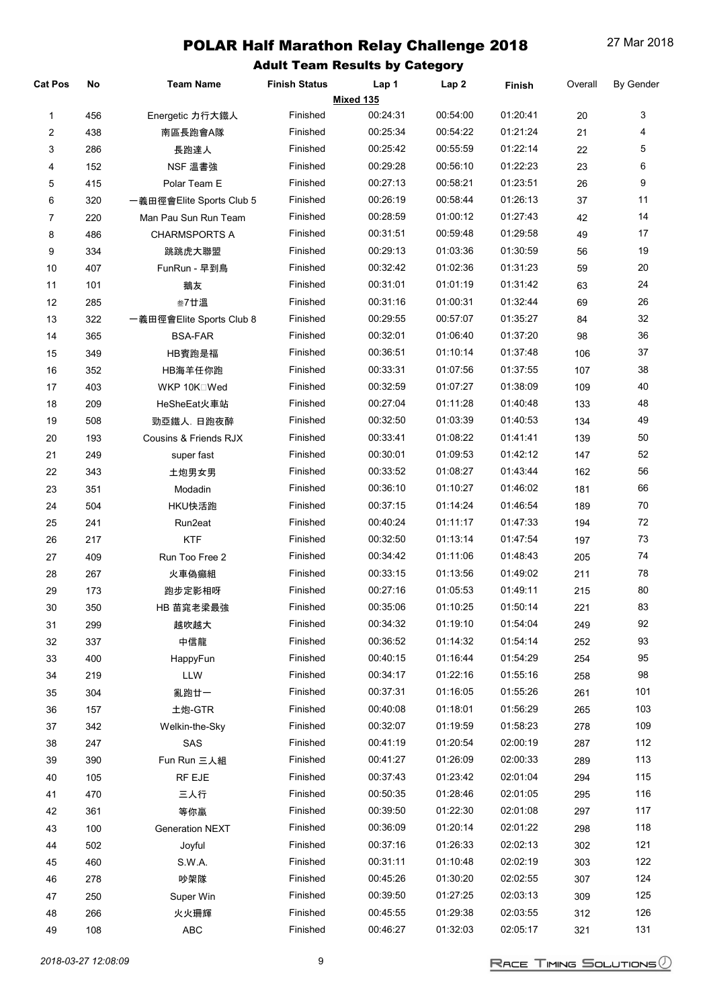| <b>Cat Pos</b>   | No  | <b>Team Name</b>                    | <b>Finish Status</b> | Lap 1     | Lap <sub>2</sub> | Finish   | Overall | <b>By Gender</b> |
|------------------|-----|-------------------------------------|----------------------|-----------|------------------|----------|---------|------------------|
|                  |     |                                     |                      | Mixed 135 |                  |          |         |                  |
| $\mathbf{1}$     | 456 | Energetic 力行大鐵人                     | Finished             | 00:24:31  | 00:54:00         | 01:20:41 | 20      | 3                |
| $\overline{2}$   | 438 | 南區長跑會A隊                             | Finished             | 00:25:34  | 00:54:22         | 01:21:24 | 21      | 4                |
| 3                | 286 | 長跑達人                                | Finished             | 00:25:42  | 00:55:59         | 01:22:14 | 22      | 5                |
| 4                | 152 | NSF 溫書強                             | Finished             | 00:29:28  | 00:56:10         | 01:22:23 | 23      | 6                |
| 5                | 415 | Polar Team E                        | Finished             | 00:27:13  | 00:58:21         | 01:23:51 | 26      | 9                |
| 6                | 320 | 一義田徑會Elite Sports Club 5            | Finished             | 00:26:19  | 00:58:44         | 01:26:13 | 37      | 11               |
| $\boldsymbol{7}$ | 220 | Man Pau Sun Run Team                | Finished             | 00:28:59  | 01:00:12         | 01:27:43 | 42      | 14               |
| 8                | 486 | <b>CHARMSPORTS A</b>                | Finished             | 00:31:51  | 00:59:48         | 01:29:58 | 49      | 17               |
| 9                | 334 | 跳跳虎大聯盟                              | Finished             | 00:29:13  | 01:03:36         | 01:30:59 | 56      | 19               |
| 10               | 407 | FunRun - 早到鳥                        | Finished             | 00:32:42  | 01:02:36         | 01:31:23 | 59      | 20               |
| 11               | 101 | 鵝友                                  | Finished             | 00:31:01  | 01:01:19         | 01:31:42 | 63      | 24               |
| 12               | 285 | 参7廿溫                                | Finished             | 00:31:16  | 01:00:31         | 01:32:44 | 69      | 26               |
| 13               | 322 | 一義田徑會Elite Sports Club 8            | Finished             | 00:29:55  | 00:57:07         | 01:35:27 | 84      | 32               |
| 14               | 365 | <b>BSA-FAR</b>                      | Finished             | 00:32:01  | 01:06:40         | 01:37:20 | 98      | 36               |
| 15               | 349 | HB賓跑是福                              | Finished             | 00:36:51  | 01:10:14         | 01:37:48 | 106     | 37               |
| 16               | 352 | HB海羊任你跑                             | Finished             | 00:33:31  | 01:07:56         | 01:37:55 | 107     | 38               |
| 17               | 403 | WKP 10K□Wed                         | Finished             | 00:32:59  | 01:07:27         | 01:38:09 | 109     | 40               |
| 18               | 209 | HeSheEat火車站                         | Finished             | 00:27:04  | 01:11:28         | 01:40:48 | 133     | 48               |
| 19               | 508 |                                     | Finished             | 00:32:50  | 01:03:39         | 01:40:53 | 134     | 49               |
|                  |     | 勁亞鐵人. 日跑夜醉<br>Cousins & Friends RJX | Finished             | 00:33:41  | 01:08:22         | 01:41:41 | 139     | 50               |
| 20               | 193 |                                     | Finished             | 00:30:01  | 01:09:53         | 01:42:12 |         | 52               |
| 21               | 249 | super fast                          |                      |           |                  |          | 147     |                  |
| 22               | 343 | 土炮男女男                               | Finished             | 00:33:52  | 01:08:27         | 01:43:44 | 162     | 56               |
| 23               | 351 | Modadin                             | Finished             | 00:36:10  | 01:10:27         | 01:46:02 | 181     | 66               |
| 24               | 504 | HKU快活跑                              | Finished             | 00:37:15  | 01:14:24         | 01:46:54 | 189     | 70               |
| 25               | 241 | Run2eat                             | Finished             | 00:40:24  | 01:11:17         | 01:47:33 | 194     | 72               |
| 26               | 217 | <b>KTF</b>                          | Finished             | 00:32:50  | 01:13:14         | 01:47:54 | 197     | 73               |
| 27               | 409 | Run Too Free 2                      | Finished             | 00:34:42  | 01:11:06         | 01:48:43 | 205     | 74               |
| 28               | 267 | 火車偽癲組                               | Finished             | 00:33:15  | 01:13:56         | 01:49:02 | 211     | 78               |
| 29               | 173 | 跑步定影相呀                              | Finished             | 00:27:16  | 01:05:53         | 01:49:11 | 215     | 80               |
| 30               | 350 | HB 苗窕老梁最強                           | Finished             | 00:35:06  | 01:10:25         | 01:50:14 | 221     | 83               |
| 31               | 299 | 越吹越大                                | Finished             | 00:34:32  | 01:19:10         | 01:54:04 | 249     | 92               |
| 32               | 337 | 中信龍                                 | Finished             | 00:36:52  | 01:14:32         | 01:54:14 | 252     | 93               |
| 33               | 400 | HappyFun                            | Finished             | 00:40:15  | 01:16:44         | 01:54:29 | 254     | 95               |
| 34               | 219 | LLW                                 | Finished             | 00:34:17  | 01:22:16         | 01:55:16 | 258     | 98               |
| 35               | 304 | 亂跑廿一                                | Finished             | 00:37:31  | 01:16:05         | 01:55:26 | 261     | 101              |
| 36               | 157 | 土炮-GTR                              | Finished             | 00:40:08  | 01:18:01         | 01:56:29 | 265     | 103              |
| 37               | 342 | Welkin-the-Sky                      | Finished             | 00:32:07  | 01:19:59         | 01:58:23 | 278     | 109              |
| 38               | 247 | SAS                                 | Finished             | 00:41:19  | 01:20:54         | 02:00:19 | 287     | 112              |
| 39               | 390 | Fun Run 三人組                         | Finished             | 00:41:27  | 01:26:09         | 02:00:33 | 289     | 113              |
| 40               | 105 | RF EJE                              | Finished             | 00:37:43  | 01:23:42         | 02:01:04 | 294     | 115              |
| 41               | 470 | 三人行                                 | Finished             | 00:50:35  | 01:28:46         | 02:01:05 | 295     | 116              |
| 42               | 361 | 等你贏                                 | Finished             | 00:39:50  | 01:22:30         | 02:01:08 | 297     | 117              |
| 43               | 100 | <b>Generation NEXT</b>              | Finished             | 00:36:09  | 01:20:14         | 02:01:22 | 298     | 118              |
| 44               | 502 | Joyful                              | Finished             | 00:37:16  | 01:26:33         | 02:02:13 | 302     | 121              |
| 45               | 460 | S.W.A.                              | Finished             | 00:31:11  | 01:10:48         | 02:02:19 | 303     | 122              |
| 46               | 278 | 吵架隊                                 | Finished             | 00:45:26  | 01:30:20         | 02:02:55 | 307     | 124              |
| 47               | 250 | Super Win                           | Finished             | 00:39:50  | 01:27:25         | 02:03:13 | 309     | 125              |
| 48               | 266 | 火火珊輝                                | Finished             | 00:45:55  | 01:29:38         | 02:03:55 | 312     | 126              |
| 49               | 108 | ABC                                 | Finished             | 00:46:27  | 01:32:03         | 02:05:17 | 321     | 131              |
|                  |     |                                     |                      |           |                  |          |         |                  |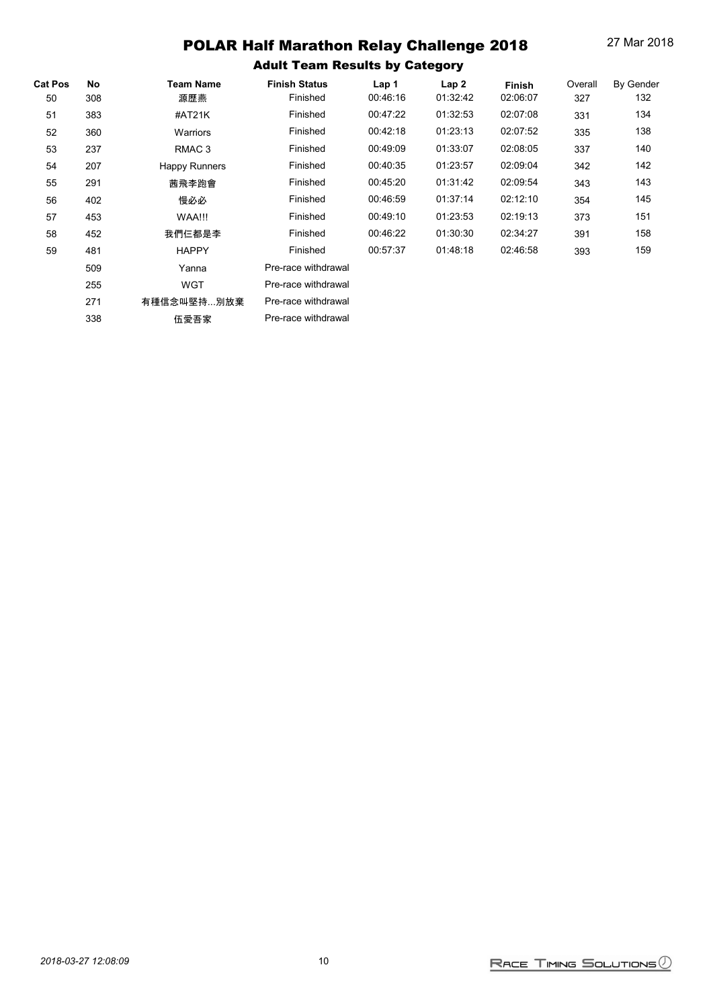Adult Team Results by Category

| <b>Cat Pos</b> | No  | <b>Team Name</b>     | <b>Finish Status</b> | Lap 1    | Lap <sub>2</sub> | <b>Finish</b> | Overall | <b>By Gender</b> |
|----------------|-----|----------------------|----------------------|----------|------------------|---------------|---------|------------------|
| 50             | 308 | 源歷燕                  | Finished             | 00:46:16 | 01:32:42         | 02:06:07      | 327     | 132              |
| 51             | 383 | #AT21K               | Finished             | 00:47:22 | 01:32:53         | 02:07:08      | 331     | 134              |
| 52             | 360 | Warriors             | Finished             | 00:42:18 | 01:23:13         | 02:07:52      | 335     | 138              |
| 53             | 237 | RMAC <sub>3</sub>    | Finished             | 00:49:09 | 01:33:07         | 02:08:05      | 337     | 140              |
| 54             | 207 | <b>Happy Runners</b> | Finished             | 00:40:35 | 01:23:57         | 02:09:04      | 342     | 142              |
| 55             | 291 | 茜飛李跑會                | Finished             | 00:45:20 | 01:31:42         | 02:09:54      | 343     | 143              |
| 56             | 402 | 慢必必                  | Finished             | 00:46:59 | 01:37:14         | 02:12:10      | 354     | 145              |
| 57             | 453 | WAA!!!               | Finished             | 00:49:10 | 01:23:53         | 02:19:13      | 373     | 151              |
| 58             | 452 | 我們仨都是李               | Finished             | 00:46:22 | 01:30:30         | 02:34:27      | 391     | 158              |
| 59             | 481 | <b>HAPPY</b>         | Finished             | 00:57:37 | 01:48:18         | 02:46:58      | 393     | 159              |
|                | 509 | Yanna                | Pre-race withdrawal  |          |                  |               |         |                  |
|                | 255 | <b>WGT</b>           | Pre-race withdrawal  |          |                  |               |         |                  |
|                | 271 | 有種信念叫堅持…別放棄          | Pre-race withdrawal  |          |                  |               |         |                  |

338 伍愛吾家 Pre-race withdrawal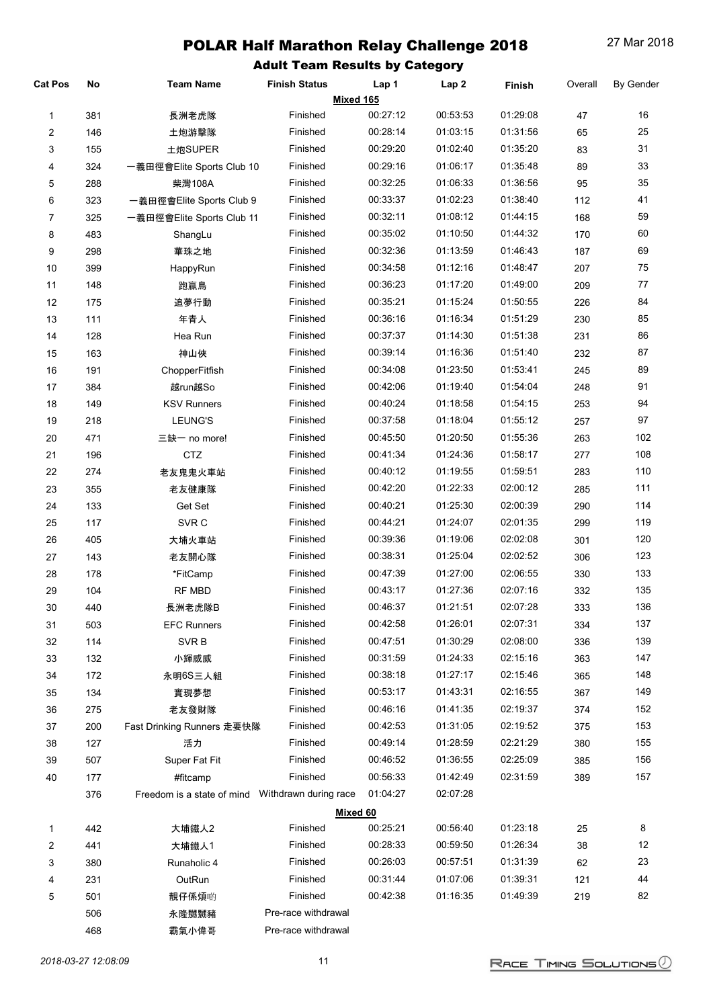| <b>Cat Pos</b>   | No  | <b>Team Name</b>                                  | <b>Finish Status</b> | Lap 1    | Lap <sub>2</sub> | Finish   | Overall | <b>By Gender</b> |
|------------------|-----|---------------------------------------------------|----------------------|----------|------------------|----------|---------|------------------|
|                  |     |                                                   | Mixed 165            |          |                  |          |         |                  |
| $\mathbf{1}$     | 381 | 長洲老虎隊                                             | Finished             | 00:27:12 | 00:53:53         | 01:29:08 | 47      | 16               |
| $\sqrt{2}$       | 146 | 土炮游擊隊                                             | Finished             | 00:28:14 | 01:03:15         | 01:31:56 | 65      | 25               |
| 3                | 155 | 土炮SUPER                                           | Finished             | 00:29:20 | 01:02:40         | 01:35:20 | 83      | 31               |
| 4                | 324 | 一義田徑會Elite Sports Club 10                         | Finished             | 00:29:16 | 01:06:17         | 01:35:48 | 89      | 33               |
| 5                | 288 | 柴灣108A                                            | Finished             | 00:32:25 | 01:06:33         | 01:36:56 | 95      | 35               |
| 6                | 323 | 一義田徑會Elite Sports Club 9                          | Finished             | 00:33:37 | 01:02:23         | 01:38:40 | 112     | 41               |
| $\boldsymbol{7}$ | 325 | 一義田徑會Elite Sports Club 11                         | Finished             | 00:32:11 | 01:08:12         | 01:44:15 | 168     | 59               |
| 8                | 483 | ShangLu                                           | Finished             | 00:35:02 | 01:10:50         | 01:44:32 | 170     | 60               |
| 9                | 298 | 華珠之地                                              | Finished             | 00:32:36 | 01:13:59         | 01:46:43 | 187     | 69               |
| 10               | 399 | HappyRun                                          | Finished             | 00:34:58 | 01:12:16         | 01:48:47 | 207     | 75               |
| 11               | 148 | 跑贏鳥                                               | Finished             | 00:36:23 | 01:17:20         | 01:49:00 | 209     | 77               |
| 12               | 175 | 追夢行動                                              | Finished             | 00:35:21 | 01:15:24         | 01:50:55 | 226     | 84               |
| 13               | 111 | 年青人                                               | Finished             | 00:36:16 | 01:16:34         | 01:51:29 | 230     | 85               |
| 14               | 128 | Hea Run                                           | Finished             | 00:37:37 | 01:14:30         | 01:51:38 | 231     | 86               |
| 15               | 163 | 神山俠                                               | Finished             | 00:39:14 | 01:16:36         | 01:51:40 | 232     | 87               |
| $16\,$           | 191 | ChopperFitfish                                    | Finished             | 00:34:08 | 01:23:50         | 01:53:41 | 245     | 89               |
| 17               | 384 | 越run越So                                           | Finished             | 00:42:06 | 01:19:40         | 01:54:04 | 248     | 91               |
| 18               | 149 | <b>KSV Runners</b>                                | Finished             | 00:40:24 | 01:18:58         | 01:54:15 | 253     | 94               |
| 19               | 218 | <b>LEUNG'S</b>                                    | Finished             | 00:37:58 | 01:18:04         | 01:55:12 | 257     | 97               |
| 20               | 471 | 三缺一 no more!                                      | Finished             | 00:45:50 | 01:20:50         | 01:55:36 | 263     | 102              |
| 21               | 196 | CTZ                                               | Finished             | 00:41:34 | 01:24:36         | 01:58:17 | 277     | 108              |
| 22               | 274 | 老友鬼鬼火車站                                           | Finished             | 00:40:12 | 01:19:55         | 01:59:51 | 283     | 110              |
| 23               | 355 | 老友健康隊                                             | Finished             | 00:42:20 | 01:22:33         | 02:00:12 | 285     | 111              |
| 24               | 133 | Get Set                                           | Finished             | 00:40:21 | 01:25:30         | 02:00:39 | 290     | 114              |
| 25               | 117 | SVR <sub>C</sub>                                  | Finished             | 00:44:21 | 01:24:07         | 02:01:35 | 299     | 119              |
| 26               | 405 | 大埔火車站                                             | Finished             | 00:39:36 | 01:19:06         | 02:02:08 | 301     | 120              |
| 27               | 143 | 老友開心隊                                             | Finished             | 00:38:31 | 01:25:04         | 02:02:52 | 306     | 123              |
| 28               | 178 | *FitCamp                                          | Finished             | 00:47:39 | 01:27:00         | 02:06:55 | 330     | 133              |
| 29               | 104 | RF MBD                                            | Finished             | 00:43:17 | 01:27:36         | 02:07:16 | 332     | 135              |
| 30               | 440 | 長洲老虎隊B                                            | Finished             | 00:46:37 | 01:21:51         | 02:07:28 | 333     | 136              |
| 31               | 503 | <b>EFC Runners</b>                                | Finished             | 00:42:58 | 01:26:01         | 02:07:31 | 334     | 137              |
| 32               | 114 | SVR B                                             | Finished             | 00:47:51 | 01:30:29         | 02:08:00 | 336     | 139              |
| 33               | 132 | 小輝威威                                              | Finished             | 00:31:59 | 01:24:33         | 02:15:16 | 363     | 147              |
| 34               | 172 | 永明6S三人組                                           | Finished             | 00:38:18 | 01:27:17         | 02:15:46 | 365     | 148              |
| 35               | 134 | 實現夢想                                              | Finished             | 00:53:17 | 01:43:31         | 02:16:55 | 367     | 149              |
| 36               | 275 | 老友發財隊                                             | Finished             | 00:46:16 | 01:41:35         | 02:19:37 | 374     | 152              |
| 37               | 200 | Fast Drinking Runners 走要快隊                        | Finished             | 00:42:53 | 01:31:05         | 02:19:52 | 375     | 153              |
| 38               | 127 | 活力                                                | Finished             | 00:49:14 | 01:28:59         | 02:21:29 | 380     | 155              |
| 39               | 507 | Super Fat Fit                                     | Finished             | 00:46:52 | 01:36:55         | 02:25:09 | 385     | 156              |
| 40               | 177 | #fitcamp                                          | Finished             | 00:56:33 | 01:42:49         | 02:31:59 | 389     | 157              |
|                  | 376 | Freedom is a state of mind  Withdrawn during race |                      | 01:04:27 | 02:07:28         |          |         |                  |
|                  |     |                                                   | Mixed 60             |          |                  |          |         |                  |
| $\mathbf{1}$     | 442 | 大埔鐵人2                                             | Finished             | 00:25:21 | 00:56:40         | 01:23:18 | 25      | 8                |
| $\overline{2}$   | 441 | 大埔鐵人1                                             | Finished             | 00:28:33 | 00:59:50         | 01:26:34 | 38      | 12               |
| 3                | 380 | Runaholic 4                                       | Finished             | 00:26:03 | 00:57:51         | 01:31:39 | 62      | 23               |
| 4                | 231 | OutRun                                            | Finished             | 00:31:44 | 01:07:06         | 01:39:31 | 121     | 44               |
| 5                | 501 | 靚仔係煩啲                                             | Finished             | 00:42:38 | 01:16:35         | 01:49:39 | 219     | 82               |
|                  | 506 | 永隆嬲嬲豬                                             | Pre-race withdrawal  |          |                  |          |         |                  |
|                  | 468 | 霸氣小偉哥                                             | Pre-race withdrawal  |          |                  |          |         |                  |